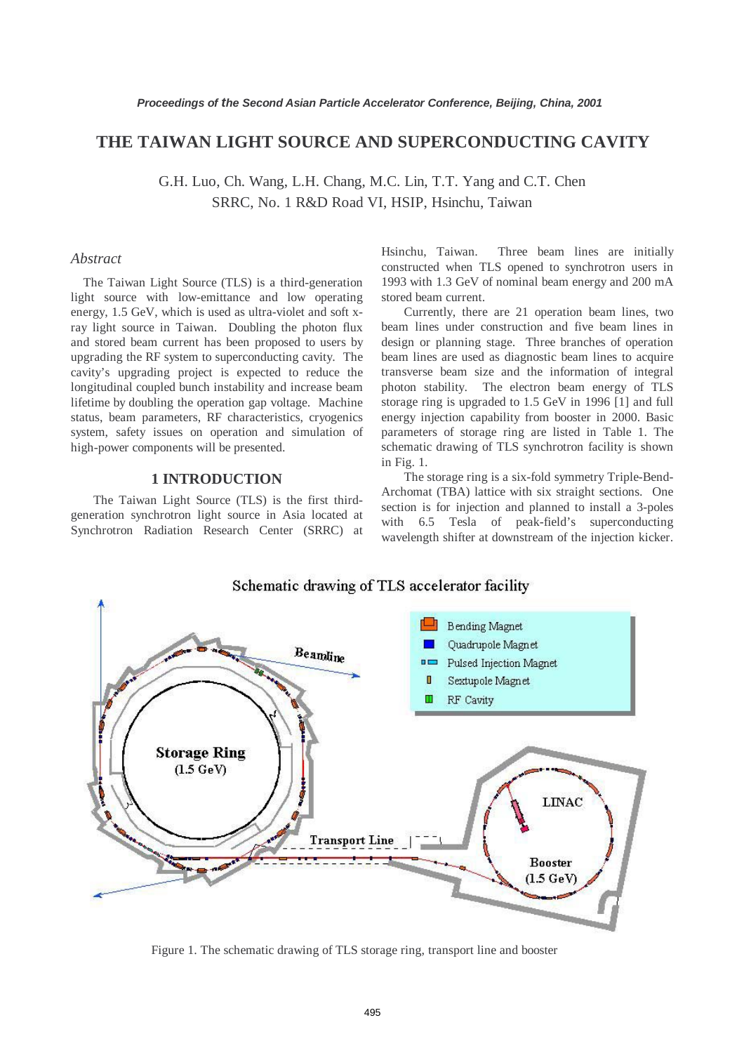# **THE TAIWAN LIGHT SOURCE AND SUPERCONDUCTING CAVITY**

G.H. Luo, Ch. Wang, L.H. Chang, M.C. Lin, T.T. Yang and C.T. Chen SRRC, No. 1 R&D Road VI, HSIP, Hsinchu, Taiwan

# *Abstract*

The Taiwan Light Source (TLS) is a third-generation light source with low-emittance and low operating energy, 1.5 GeV, which is used as ultra-violet and soft xray light source in Taiwan. Doubling the photon flux and stored beam current has been proposed to users by upgrading the RF system to superconducting cavity. The cavity's upgrading project is expected to reduce the longitudinal coupled bunch instability and increase beam lifetime by doubling the operation gap voltage. Machine status, beam parameters, RF characteristics, cryogenics system, safety issues on operation and simulation of high-power components will be presented.

# **1 INTRODUCTION**

The Taiwan Light Source (TLS) is the first thirdgeneration synchrotron light source in Asia located at Synchrotron Radiation Research Center (SRRC) at Hsinchu, Taiwan. Three beam lines are initially constructed when TLS opened to synchrotron users in 1993 with 1.3 GeV of nominal beam energy and 200 mA stored beam current.

Currently, there are 21 operation beam lines, two beam lines under construction and five beam lines in design or planning stage. Three branches of operation beam lines are used as diagnostic beam lines to acquire transverse beam size and the information of integral photon stability. The electron beam energy of TLS storage ring is upgraded to 1.5 GeV in 1996 [1] and full energy injection capability from booster in 2000. Basic parameters of storage ring are listed in Table 1. The schematic drawing of TLS synchrotron facility is shown in Fig. 1.

The storage ring is a six-fold symmetry Triple-Bend-Archomat (TBA) lattice with six straight sections. One section is for injection and planned to install a 3-poles with 6.5 Tesla of peak-field's superconducting wavelength shifter at downstream of the injection kicker.

### Schematic drawing of TLS accelerator facility



Figure 1. The schematic drawing of TLS storage ring, transport line and booster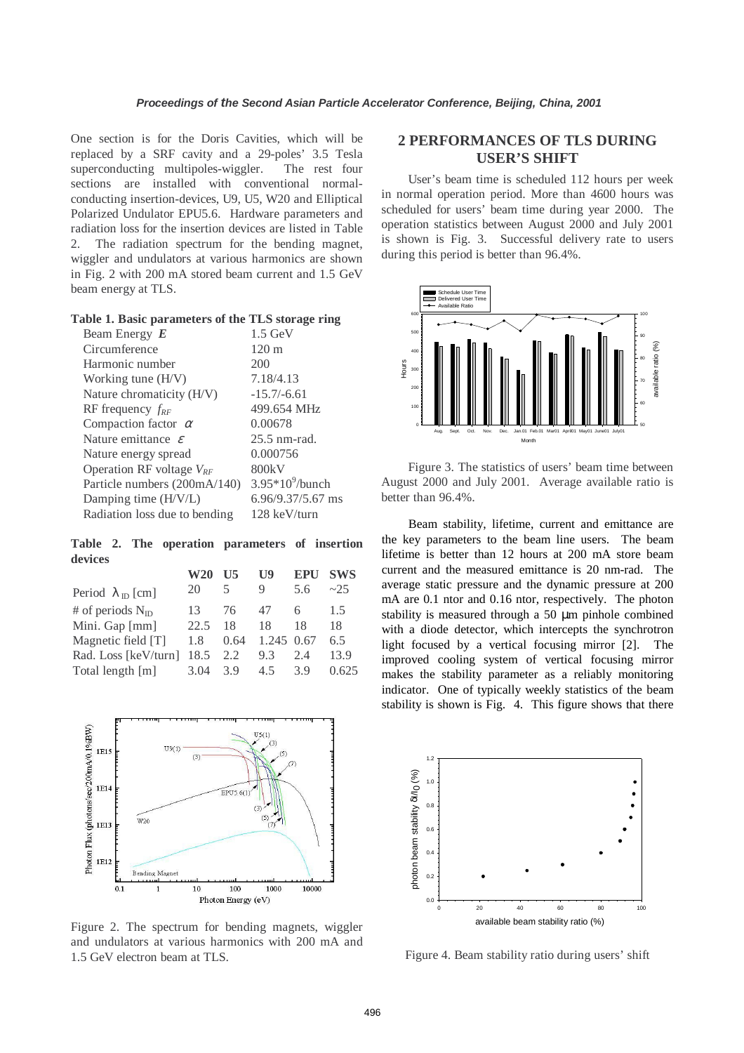One section is for the Doris Cavities, which will be replaced by a SRF cavity and a 29-poles' 3.5 Tesla superconducting multipoles-wiggler. The rest four sections are installed with conventional normalconducting insertion-devices, U9, U5, W20 and Elliptical Polarized Undulator EPU5.6. Hardware parameters and radiation loss for the insertion devices are listed in Table 2. The radiation spectrum for the bending magnet, wiggler and undulators at various harmonics are shown in Fig. 2 with 200 mA stored beam current and 1.5 GeV beam energy at TLS.

| Table 1. Basic parameters of the TLS storage ring |  |  |
|---------------------------------------------------|--|--|
|---------------------------------------------------|--|--|

| Beam Energy $E$                | $1.5 \text{ GeV}$  |
|--------------------------------|--------------------|
| Circumference                  | $120 \text{ m}$    |
| Harmonic number                | 200                |
| Working tune (H/V)             | 7.18/4.13          |
| Nature chromaticity (H/V)      | $-15.7/-6.61$      |
| RF frequency $f_{RF}$          | 499.654 MHz        |
| Compaction factor $\alpha$     | 0.00678            |
| Nature emittance $\varepsilon$ | $25.5$ nm-rad.     |
| Nature energy spread           | 0.000756           |
| Operation RF voltage $V_{RF}$  | 800kV              |
| Particle numbers (200mA/140)   | $3.95*10^9$ /bunch |
| Damping time (H/V/L)           | 6.96/9.37/5.67 ms  |
| Radiation loss due to bending  | 128 keV/turn       |

**Table 2. The operation parameters of insertion devices** 

| W20  | II5  | $\mathbf{U}$ | <b>EPU</b> | <b>SWS</b> |
|------|------|--------------|------------|------------|
| 20   | 5    | 9            | 5.6        | ~25        |
| 13   | 76   | 47           | 6          | 1.5        |
| 22.5 | 18   | 18           | 18         | 18         |
| 1.8  | 0.64 |              |            | 6.5        |
| 18.5 | 2.2  | 9.3          | 2.4        | 13.9       |
| 3.04 | 3.9  | 4.5          | 3.9        | 0.625      |
|      |      |              |            | 1.245 0.67 |



Figure 2. The spectrum for bending magnets, wiggler and undulators at various harmonics with 200 mA and 1.5 GeV electron beam at TLS.

# **2 PERFORMANCES OF TLS DURING USER'S SHIFT**

User's beam time is scheduled 112 hours per week in normal operation period. More than 4600 hours was scheduled for users' beam time during year 2000. The operation statistics between August 2000 and July 2001 is shown is Fig. 3. Successful delivery rate to users during this period is better than 96.4%.



Figure 3. The statistics of users' beam time between August 2000 and July 2001. Average available ratio is better than 96.4%.

Beam stability, lifetime, current and emittance are the key parameters to the beam line users. The beam lifetime is better than 12 hours at 200 mA store beam current and the measured emittance is 20 nm-rad. The average static pressure and the dynamic pressure at 200 mA are 0.1 ntor and 0.16 ntor, respectively. The photon stability is measured through a 50 µm pinhole combined with a diode detector, which intercepts the synchrotron light focused by a vertical focusing mirror [2]. The improved cooling system of vertical focusing mirror makes the stability parameter as a reliably monitoring indicator. One of typically weekly statistics of the beam stability is shown is Fig. 4. This figure shows that there



Figure 4. Beam stability ratio during users' shift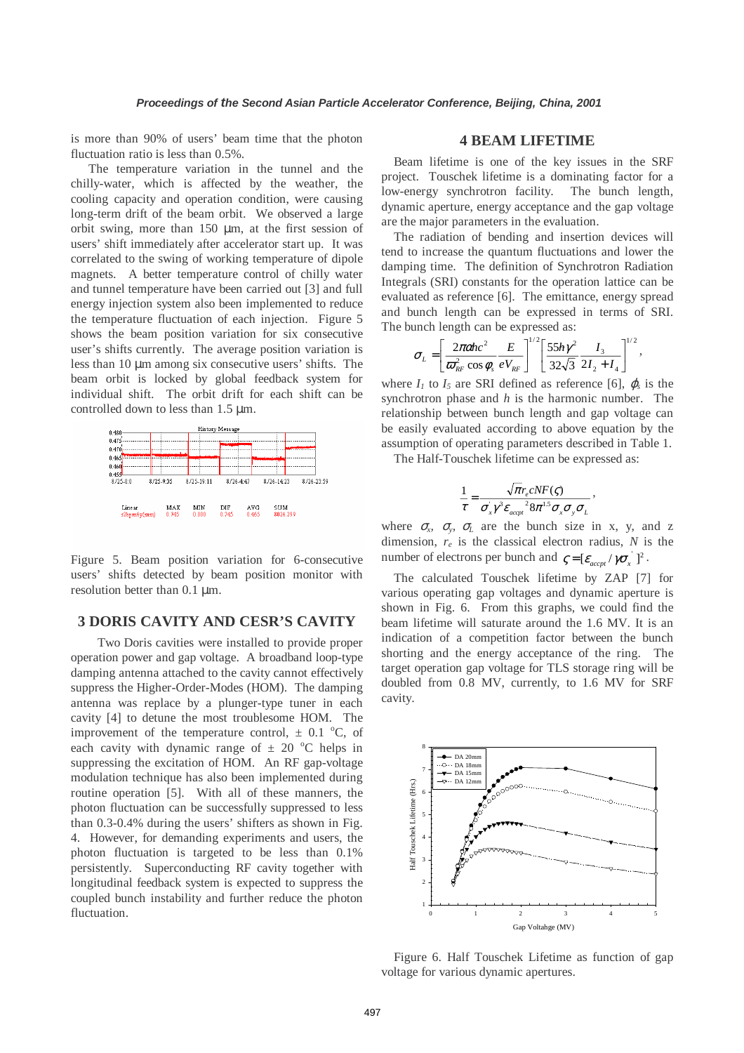is more than 90% of users' beam time that the photon fluctuation ratio is less than 0.5%.

The temperature variation in the tunnel and the chilly-water, which is affected by the weather, the cooling capacity and operation condition, were causing long-term drift of the beam orbit. We observed a large orbit swing, more than 150 µm, at the first session of users' shift immediately after accelerator start up. It was correlated to the swing of working temperature of dipole magnets. A better temperature control of chilly water and tunnel temperature have been carried out [3] and full energy injection system also been implemented to reduce the temperature fluctuation of each injection. Figure 5 shows the beam position variation for six consecutive user's shifts currently. The average position variation is less than 10 µm among six consecutive users' shifts. The beam orbit is locked by global feedback system for individual shift. The orbit drift for each shift can be controlled down to less than 1.5 µm.



Figure 5. Beam position variation for 6-consecutive users' shifts detected by beam position monitor with resolution better than 0.1 µm.

# **3 DORIS CAVITY AND CESR'S CAVITY**

Two Doris cavities were installed to provide proper operation power and gap voltage. A broadband loop-type damping antenna attached to the cavity cannot effectively suppress the Higher-Order-Modes (HOM). The damping antenna was replace by a plunger-type tuner in each cavity [4] to detune the most troublesome HOM. The improvement of the temperature control,  $\pm$  0.1 °C, of each cavity with dynamic range of  $\pm$  20 °C helps in suppressing the excitation of HOM. An RF gap-voltage modulation technique has also been implemented during routine operation [5]. With all of these manners, the photon fluctuation can be successfully suppressed to less than 0.3-0.4% during the users' shifters as shown in Fig. 4. However, for demanding experiments and users, the photon fluctuation is targeted to be less than 0.1% persistently. Superconducting RF cavity together with longitudinal feedback system is expected to suppress the coupled bunch instability and further reduce the photon fluctuation.

# **4 BEAM LIFETIME**

Beam lifetime is one of the key issues in the SRF project. Touschek lifetime is a dominating factor for a low-energy synchrotron facility. The bunch length, dynamic aperture, energy acceptance and the gap voltage are the major parameters in the evaluation.

The radiation of bending and insertion devices will tend to increase the quantum fluctuations and lower the damping time. The definition of Synchrotron Radiation Integrals (SRI) constants for the operation lattice can be evaluated as reference [6]. The emittance, energy spread and bunch length can be expressed in terms of SRI. The bunch length can be expressed as:

$$
\sigma_{L} = \left[ \frac{2\pi c \hbar c^{2}}{\sigma_{RF}^{2} \cos \phi_{s}} \frac{E}{eV_{RF}} \right]^{1/2} \left[ \frac{55 \hbar \gamma^{2}}{32\sqrt{3}} \frac{I_{3}}{2I_{2}+I_{4}} \right]^{1/2},
$$

where  $I_1$  to  $I_5$  are SRI defined as reference [6],  $\varphi_s$  is the synchrotron phase and *h* is the harmonic number. The relationship between bunch length and gap voltage can be easily evaluated according to above equation by the assumption of operating parameters described in Table 1.

The Half-Touschek lifetime can be expressed as:

$$
\frac{1}{\tau} = \frac{\sqrt{\pi}r_e cNF(\zeta)}{\sigma_x \gamma^3 \varepsilon_{acpt}^2 8\pi^{1.5} \sigma_x \sigma_y \sigma_L},
$$

where  $\sigma_x$ ,  $\sigma_y$ ,  $\sigma_L$  are the bunch size in x, y, and z dimension, *re* is the classical electron radius, *N* is the number of electrons per bunch and  $\zeta = \left[ \varepsilon_{accpt} / \gamma \sigma_x \right]^2$ .

The calculated Touschek lifetime by ZAP [7] for various operating gap voltages and dynamic aperture is shown in Fig. 6. From this graphs, we could find the beam lifetime will saturate around the 1.6 MV. It is an indication of a competition factor between the bunch shorting and the energy acceptance of the ring. The target operation gap voltage for TLS storage ring will be doubled from 0.8 MV, currently, to 1.6 MV for SRF cavity.



Figure 6. Half Touschek Lifetime as function of gap voltage for various dynamic apertures.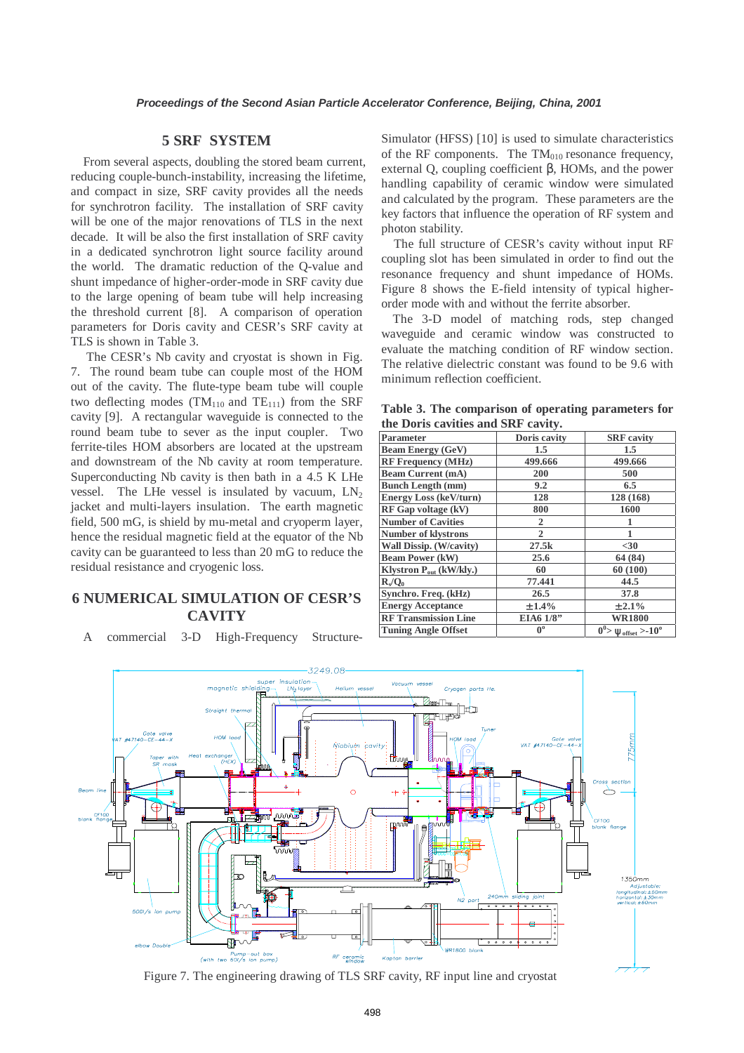# **5 SRF SYSTEM**

From several aspects, doubling the stored beam current, reducing couple-bunch-instability, increasing the lifetime, and compact in size, SRF cavity provides all the needs for synchrotron facility. The installation of SRF cavity will be one of the major renovations of TLS in the next decade. It will be also the first installation of SRF cavity in a dedicated synchrotron light source facility around the world. The dramatic reduction of the Q-value and shunt impedance of higher-order-mode in SRF cavity due to the large opening of beam tube will help increasing the threshold current [8]. A comparison of operation parameters for Doris cavity and CESR's SRF cavity at TLS is shown in Table 3.

 The CESR's Nb cavity and cryostat is shown in Fig. 7. The round beam tube can couple most of the HOM out of the cavity. The flute-type beam tube will couple two deflecting modes (TM<sub>110</sub> and TE<sub>111</sub>) from the SRF cavity [9]. A rectangular waveguide is connected to the round beam tube to sever as the input coupler. Two ferrite-tiles HOM absorbers are located at the upstream and downstream of the Nb cavity at room temperature. Superconducting Nb cavity is then bath in a 4.5 K LHe vessel. The LHe vessel is insulated by vacuum,  $LN<sub>2</sub>$ jacket and multi-layers insulation. The earth magnetic field, 500 mG, is shield by mu-metal and cryoperm layer, hence the residual magnetic field at the equator of the Nb cavity can be guaranteed to less than 20 mG to reduce the residual resistance and cryogenic loss.

# **6 NUMERICAL SIMULATION OF CESR'S CAVITY**

A commercial 3-D High-Frequency Structure-

Simulator (HFSS) [10] is used to simulate characteristics of the RF components. The  $TM<sub>010</sub>$  resonance frequency, external Q, coupling coefficient β, HOMs, and the power handling capability of ceramic window were simulated and calculated by the program. These parameters are the key factors that influence the operation of RF system and photon stability.

The full structure of CESR's cavity without input RF coupling slot has been simulated in order to find out the resonance frequency and shunt impedance of HOMs. Figure 8 shows the E-field intensity of typical higherorder mode with and without the ferrite absorber.

The 3-D model of matching rods, step changed waveguide and ceramic window was constructed to evaluate the matching condition of RF window section. The relative dielectric constant was found to be 9.6 with minimum reflection coefficient.

**Table 3. The comparison of operating parameters for the Doris cavities and SRF cavity.** 

| <b>Parameter</b>                    | Doris cavity | <b>SRF</b> cavity                                 |
|-------------------------------------|--------------|---------------------------------------------------|
| <b>Beam Energy (GeV)</b>            | 1.5          | $1.5\,$                                           |
| <b>RF Frequency (MHz)</b>           | 499.666      | 499.666                                           |
| <b>Beam Current (mA)</b>            | 200          | 500                                               |
| <b>Bunch Length (mm)</b>            | 9.2          | 6.5                                               |
| <b>Energy Loss (keV/turn)</b>       | 128          | 128 (168)                                         |
| RF Gap voltage (kV)                 | 800          | 1600                                              |
| <b>Number of Cavities</b>           | 2            |                                                   |
| <b>Number of klystrons</b>          | $\mathbf{2}$ |                                                   |
| Wall Dissip. (W/cavity)             | 27.5k        | $30$                                              |
| <b>Beam Power (kW)</b>              | 25.6         | 64 (84)                                           |
| Klystron P <sub>out</sub> (kW/kly.) | 60           | 60 (100)                                          |
| R/O <sub>0</sub>                    | 77.441       | 44.5                                              |
| Synchro. Freq. (kHz)                | 26.5         | 37.8                                              |
| <b>Energy Acceptance</b>            | ±1.4%        | ± 2.1%                                            |
| <b>RF Transmission Line</b>         | EIA6 1/8"    | <b>WR1800</b>                                     |
| <b>Tuning Angle Offset</b>          | $0^{\circ}$  | $0^0$ > $\Psi_{\text{offset}}$ > -10 <sup>o</sup> |
|                                     |              |                                                   |



Figure 7. The engineering drawing of TLS SRF cavity, RF input line and cryostat